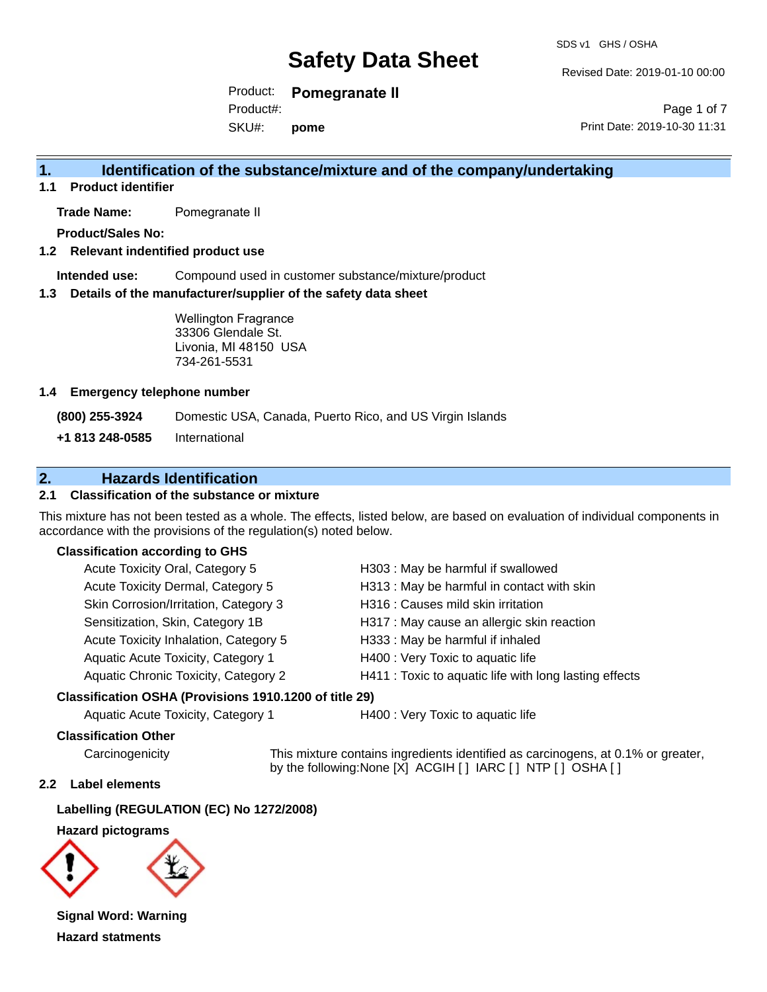Revised Date: 2019-01-10 00:00

Product: **Pomegranate II** SKU#: Product#: **pome**

Page 1 of 7 Print Date: 2019-10-30 11:31

# **1. Identification of the substance/mixture and of the company/undertaking**

**1.1 Product identifier**

**Trade Name:** Pomegranate II

**Product/Sales No:**

#### **1.2 Relevant indentified product use**

**Intended use:** Compound used in customer substance/mixture/product

#### **1.3 Details of the manufacturer/supplier of the safety data sheet**

Wellington Fragrance 33306 Glendale St. Livonia, MI 48150 USA 734-261-5531

#### **1.4 Emergency telephone number**

**(800) 255-3924** Domestic USA, Canada, Puerto Rico, and US Virgin Islands

**+1 813 248-0585** International

### **2. Hazards Identification**

#### **2.1 Classification of the substance or mixture**

This mixture has not been tested as a whole. The effects, listed below, are based on evaluation of individual components in accordance with the provisions of the regulation(s) noted below.

#### **Classification according to GHS**

| Acute Toxicity Oral, Category 5       | H303: May be harmful if swallowed                      |
|---------------------------------------|--------------------------------------------------------|
| Acute Toxicity Dermal, Category 5     | H313: May be harmful in contact with skin              |
| Skin Corrosion/Irritation, Category 3 | H316 : Causes mild skin irritation                     |
| Sensitization, Skin, Category 1B      | H317 : May cause an allergic skin reaction             |
| Acute Toxicity Inhalation, Category 5 | H333: May be harmful if inhaled                        |
| Aquatic Acute Toxicity, Category 1    | H400 : Very Toxic to aquatic life                      |
| Aquatic Chronic Toxicity, Category 2  | H411 : Toxic to aquatic life with long lasting effects |
|                                       |                                                        |

#### **Classification OSHA (Provisions 1910.1200 of title 29)**

Aquatic Acute Toxicity, Category 1 H400 : Very Toxic to aquatic life

#### **Classification Other**

Carcinogenicity This mixture contains ingredients identified as carcinogens, at 0.1% or greater, by the following:None [X] ACGIH [ ] IARC [ ] NTP [ ] OSHA [ ]

#### **2.2 Label elements**

**Labelling (REGULATION (EC) No 1272/2008)**

**Hazard pictograms**



**Signal Word: Warning Hazard statments**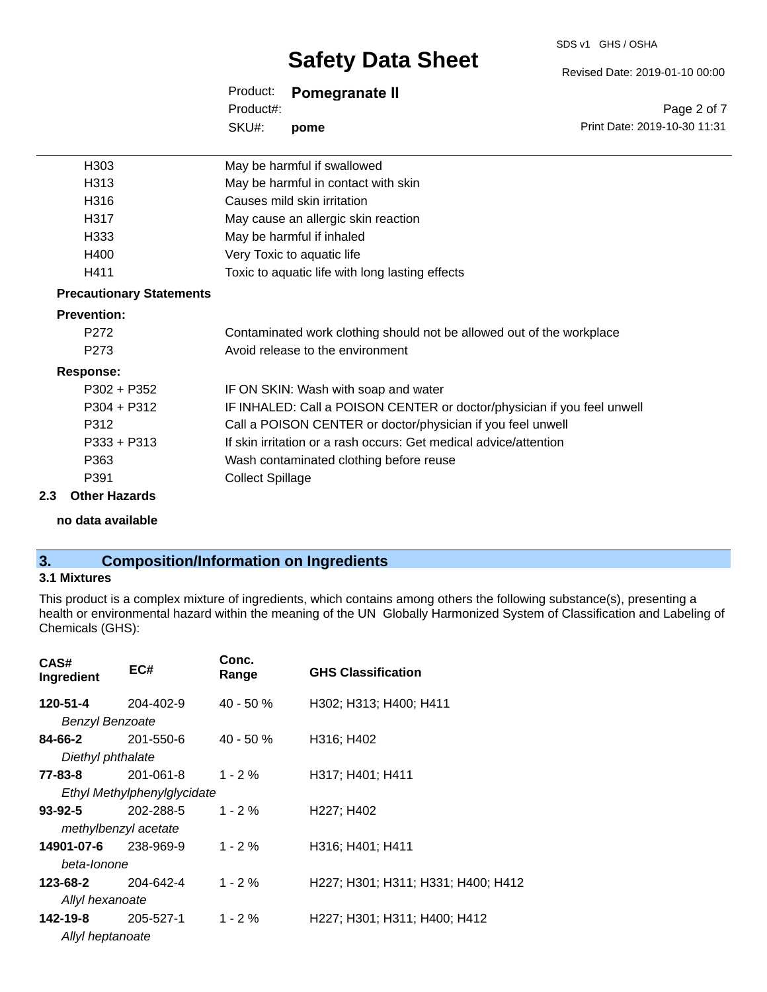#### SDS v1 GHS / OSHA

# **Safety Data Sheet**

Product: **Pomegranate II** Product#:

SKU#: **pome** Page 2 of 7

Revised Date: 2019-01-10 00:00

Print Date: 2019-10-30 11:31

| H303                            | May be harmful if swallowed                                             |
|---------------------------------|-------------------------------------------------------------------------|
| H313                            | May be harmful in contact with skin                                     |
| H316                            | Causes mild skin irritation                                             |
| H317                            | May cause an allergic skin reaction                                     |
| H333                            | May be harmful if inhaled                                               |
| H400                            | Very Toxic to aquatic life                                              |
| H411                            | Toxic to aquatic life with long lasting effects                         |
| <b>Precautionary Statements</b> |                                                                         |
| <b>Prevention:</b>              |                                                                         |
| P272                            | Contaminated work clothing should not be allowed out of the workplace   |
| P273                            | Avoid release to the environment                                        |
| <b>Response:</b>                |                                                                         |
| $P302 + P352$                   | IF ON SKIN: Wash with soap and water                                    |
| $P304 + P312$                   | IF INHALED: Call a POISON CENTER or doctor/physician if you feel unwell |
| P312                            | Call a POISON CENTER or doctor/physician if you feel unwell             |
| $P333 + P313$                   | If skin irritation or a rash occurs: Get medical advice/attention       |
| P363                            | Wash contaminated clothing before reuse                                 |
| P391                            | <b>Collect Spillage</b>                                                 |
| <b>Other Hazards</b><br>2.3     |                                                                         |

**no data available**

# **3. Composition/Information on Ingredients**

#### **3.1 Mixtures**

This product is a complex mixture of ingredients, which contains among others the following substance(s), presenting a health or environmental hazard within the meaning of the UN Globally Harmonized System of Classification and Labeling of Chemicals (GHS):

| CAS#<br>Ingredient     | EC#                         | Conc.<br>Range | <b>GHS Classification</b>           |
|------------------------|-----------------------------|----------------|-------------------------------------|
| 120-51-4               | 204-402-9                   | $40 - 50 \%$   | H302; H313; H400; H411              |
| <b>Benzyl Benzoate</b> |                             |                |                                     |
| 84-66-2                | 201-550-6                   | $40 - 50 \%$   | H316; H402                          |
| Diethyl phthalate      |                             |                |                                     |
| 77-83-8                | 201-061-8                   | $1 - 2 \%$     | H317; H401; H411                    |
|                        | Ethyl Methylphenylglycidate |                |                                     |
| 93-92-5                | 202-288-5                   | $1 - 2 \%$     | H <sub>227</sub> ; H <sub>402</sub> |
|                        | methylbenzyl acetate        |                |                                     |
| 14901-07-6             | 238-969-9                   | $1 - 2 \%$     | H316; H401; H411                    |
| beta-lonone            |                             |                |                                     |
| 123-68-2               | 204-642-4                   | $1 - 2 \%$     | H227; H301; H311; H331; H400; H412  |
| Allyl hexanoate        |                             |                |                                     |
| 142-19-8               | 205-527-1                   | $1 - 2 \%$     | H227; H301; H311; H400; H412        |
| Allyl heptanoate       |                             |                |                                     |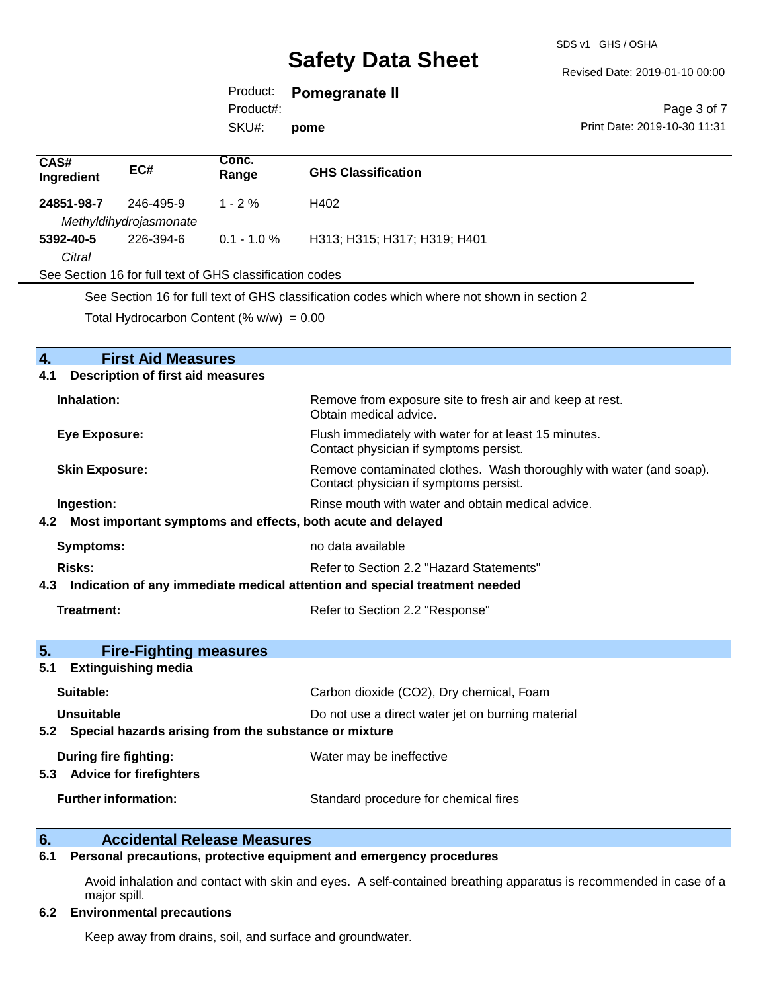#### Revised Date: 2019-01-10 00:00

### Product: **Pomegranate II**

SKU#: Product#:

**pome**

#### Page 3 of 7 Print Date: 2019-10-30 11:31

| CAS#<br>Ingredient                                                                          | EC#                                 | Conc.<br>Range | <b>GHS Classification</b>    |  |
|---------------------------------------------------------------------------------------------|-------------------------------------|----------------|------------------------------|--|
| 24851-98-7                                                                                  | 246-495-9                           | $1 - 2\%$      | H402                         |  |
| 5392-40-5                                                                                   | Methyldihydrojasmonate<br>226-394-6 | $0.1 - 1.0 \%$ | H313; H315; H317; H319; H401 |  |
| Citral                                                                                      |                                     |                |                              |  |
| See Section 16 for full text of GHS classification codes                                    |                                     |                |                              |  |
| See Section 16 for full text of GHS classification codes which where not shown in section 2 |                                     |                |                              |  |

Total Hydrocarbon Content  $(\% w/w) = 0.00$ 

| 4.<br><b>First Aid Measures</b>                                                   |                                                                                                               |  |  |  |
|-----------------------------------------------------------------------------------|---------------------------------------------------------------------------------------------------------------|--|--|--|
| <b>Description of first aid measures</b><br>4.1                                   |                                                                                                               |  |  |  |
| Inhalation:                                                                       | Remove from exposure site to fresh air and keep at rest.<br>Obtain medical advice.                            |  |  |  |
| <b>Eye Exposure:</b>                                                              | Flush immediately with water for at least 15 minutes.<br>Contact physician if symptoms persist.               |  |  |  |
| <b>Skin Exposure:</b>                                                             | Remove contaminated clothes. Wash thoroughly with water (and soap).<br>Contact physician if symptoms persist. |  |  |  |
| Ingestion:                                                                        | Rinse mouth with water and obtain medical advice.                                                             |  |  |  |
| Most important symptoms and effects, both acute and delayed<br>4.2                |                                                                                                               |  |  |  |
| <b>Symptoms:</b>                                                                  | no data available                                                                                             |  |  |  |
| Risks:                                                                            | Refer to Section 2.2 "Hazard Statements"                                                                      |  |  |  |
| Indication of any immediate medical attention and special treatment needed<br>4.3 |                                                                                                               |  |  |  |
| <b>Treatment:</b>                                                                 | Refer to Section 2.2 "Response"                                                                               |  |  |  |
| 5.<br><b>Fire-Fighting measures</b>                                               |                                                                                                               |  |  |  |
| <b>Extinguishing media</b><br>5.1                                                 |                                                                                                               |  |  |  |
| Suitable:                                                                         | Carbon dioxide (CO2), Dry chemical, Foam                                                                      |  |  |  |
| Unsuitable                                                                        | Do not use a direct water jet on burning material                                                             |  |  |  |
| 5.2 Special hazards arising from the substance or mixture                         |                                                                                                               |  |  |  |
| During fire fighting:                                                             | Water may be ineffective                                                                                      |  |  |  |
| <b>Advice for firefighters</b><br>5.3                                             |                                                                                                               |  |  |  |
| <b>Further information:</b>                                                       | Standard procedure for chemical fires                                                                         |  |  |  |

# **6. Accidental Release Measures**<br>**6.1** Personal precautions, protective equipm

#### **6.1 Personal precautions, protective equipment and emergency procedures**

Avoid inhalation and contact with skin and eyes. A self-contained breathing apparatus is recommended in case of a major spill.

#### **6.2 Environmental precautions**

Keep away from drains, soil, and surface and groundwater.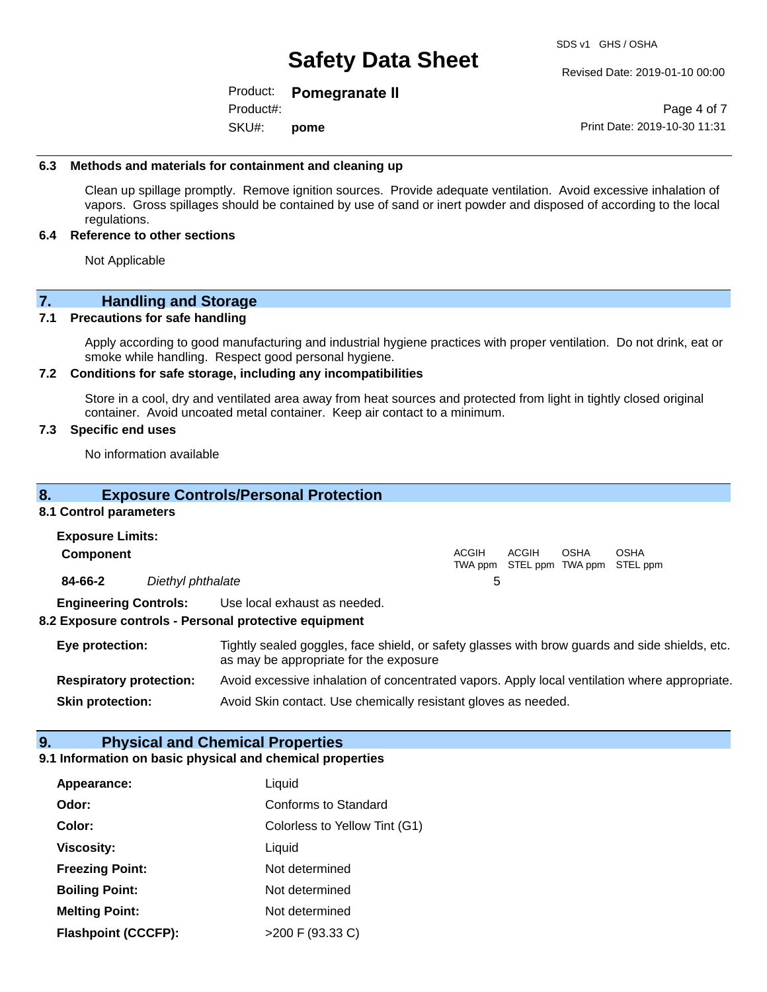Revised Date: 2019-01-10 00:00

Product: **Pomegranate II** Product#:

SKU#: **pome**

Page 4 of 7 Print Date: 2019-10-30 11:31

#### **6.3 Methods and materials for containment and cleaning up**

Clean up spillage promptly. Remove ignition sources. Provide adequate ventilation. Avoid excessive inhalation of vapors. Gross spillages should be contained by use of sand or inert powder and disposed of according to the local regulations.

#### **6.4 Reference to other sections**

Not Applicable

### **7. Handling and Storage**

#### **7.1 Precautions for safe handling**

Apply according to good manufacturing and industrial hygiene practices with proper ventilation. Do not drink, eat or smoke while handling. Respect good personal hygiene.

#### **7.2 Conditions for safe storage, including any incompatibilities**

Store in a cool, dry and ventilated area away from heat sources and protected from light in tightly closed original container. Avoid uncoated metal container. Keep air contact to a minimum.

#### **7.3 Specific end uses**

No information available

#### **8. Exposure Controls/Personal Protection**

#### **8.1 Control parameters**

| <b>Exposure Limits:</b> |                              |                                                       |              |       |      |                                                  |  |
|-------------------------|------------------------------|-------------------------------------------------------|--------------|-------|------|--------------------------------------------------|--|
| <b>Component</b>        |                              |                                                       | <b>ACGIH</b> | ACGIH | OSHA | <b>OSHA</b><br>TWA ppm STEL ppm TWA ppm STEL ppm |  |
| 84-66-2                 | Diethyl phthalate            |                                                       | 5            |       |      |                                                  |  |
|                         | <b>Engineering Controls:</b> | Use local exhaust as needed.                          |              |       |      |                                                  |  |
|                         |                              | 8.2 Exposure controls - Personal protective equipment |              |       |      |                                                  |  |

**Eye protection:** Tightly sealed goggles, face shield, or safety glasses with brow guards and side shields, etc. as may be appropriate for the exposure **Respiratory protection:** Avoid excessive inhalation of concentrated vapors. Apply local ventilation where appropriate.

**Skin protection:** Avoid Skin contact. Use chemically resistant gloves as needed.

### **9. Physical and Chemical Properties**

#### **9.1 Information on basic physical and chemical properties**

| Appearance:                | Liquid                        |
|----------------------------|-------------------------------|
| Odor:                      | Conforms to Standard          |
| Color:                     | Colorless to Yellow Tint (G1) |
| <b>Viscosity:</b>          | Liquid                        |
| <b>Freezing Point:</b>     | Not determined                |
| <b>Boiling Point:</b>      | Not determined                |
| <b>Melting Point:</b>      | Not determined                |
| <b>Flashpoint (CCCFP):</b> | >200 F (93.33 C)              |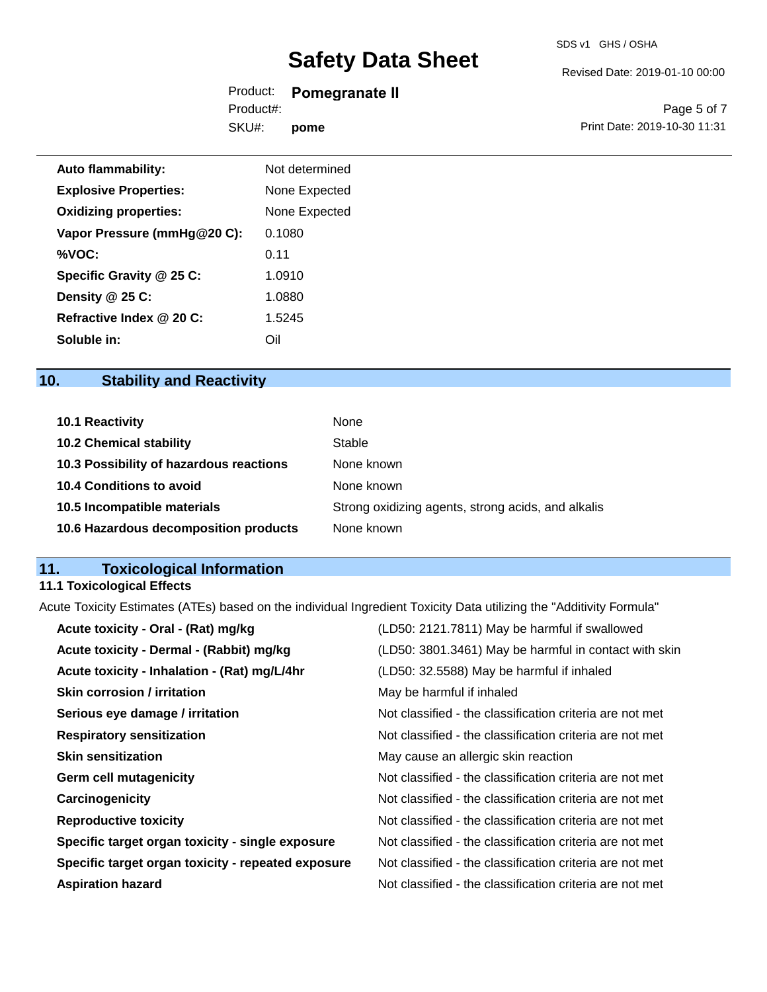#### Revised Date: 2019-01-10 00:00

Product: **Pomegranate II** SKU#: Product#: **pome**

Page 5 of 7 Print Date: 2019-10-30 11:31

| <b>Auto flammability:</b>    | Not determined |
|------------------------------|----------------|
| <b>Explosive Properties:</b> | None Expected  |
| <b>Oxidizing properties:</b> | None Expected  |
| Vapor Pressure (mmHg@20 C):  | 0.1080         |
| %VOC:                        | 0.11           |
| Specific Gravity @ 25 C:     | 1.0910         |
| Density @ 25 C:              | 1.0880         |
| Refractive Index @ 20 C:     | 1.5245         |
| Soluble in:                  | Oil            |

# **10. Stability and Reactivity**

| 10.1 Reactivity                         | None                                               |
|-----------------------------------------|----------------------------------------------------|
| <b>10.2 Chemical stability</b>          | Stable                                             |
| 10.3 Possibility of hazardous reactions | None known                                         |
| <b>10.4 Conditions to avoid</b>         | None known                                         |
| 10.5 Incompatible materials             | Strong oxidizing agents, strong acids, and alkalis |
| 10.6 Hazardous decomposition products   | None known                                         |

# **11. Toxicological Information**

# **11.1 Toxicological Effects**

Acute Toxicity Estimates (ATEs) based on the individual Ingredient Toxicity Data utilizing the "Additivity Formula"

| Acute toxicity - Oral - (Rat) mg/kg                | (LD50: 2121.7811) May be harmful if swallowed            |
|----------------------------------------------------|----------------------------------------------------------|
| Acute toxicity - Dermal - (Rabbit) mg/kg           | (LD50: 3801.3461) May be harmful in contact with skin    |
| Acute toxicity - Inhalation - (Rat) mg/L/4hr       | (LD50: 32.5588) May be harmful if inhaled                |
| <b>Skin corrosion / irritation</b>                 | May be harmful if inhaled                                |
| Serious eye damage / irritation                    | Not classified - the classification criteria are not met |
| <b>Respiratory sensitization</b>                   | Not classified - the classification criteria are not met |
| <b>Skin sensitization</b>                          | May cause an allergic skin reaction                      |
| <b>Germ cell mutagenicity</b>                      | Not classified - the classification criteria are not met |
| Carcinogenicity                                    | Not classified - the classification criteria are not met |
| <b>Reproductive toxicity</b>                       | Not classified - the classification criteria are not met |
| Specific target organ toxicity - single exposure   | Not classified - the classification criteria are not met |
| Specific target organ toxicity - repeated exposure | Not classified - the classification criteria are not met |
| <b>Aspiration hazard</b>                           | Not classified - the classification criteria are not met |
|                                                    |                                                          |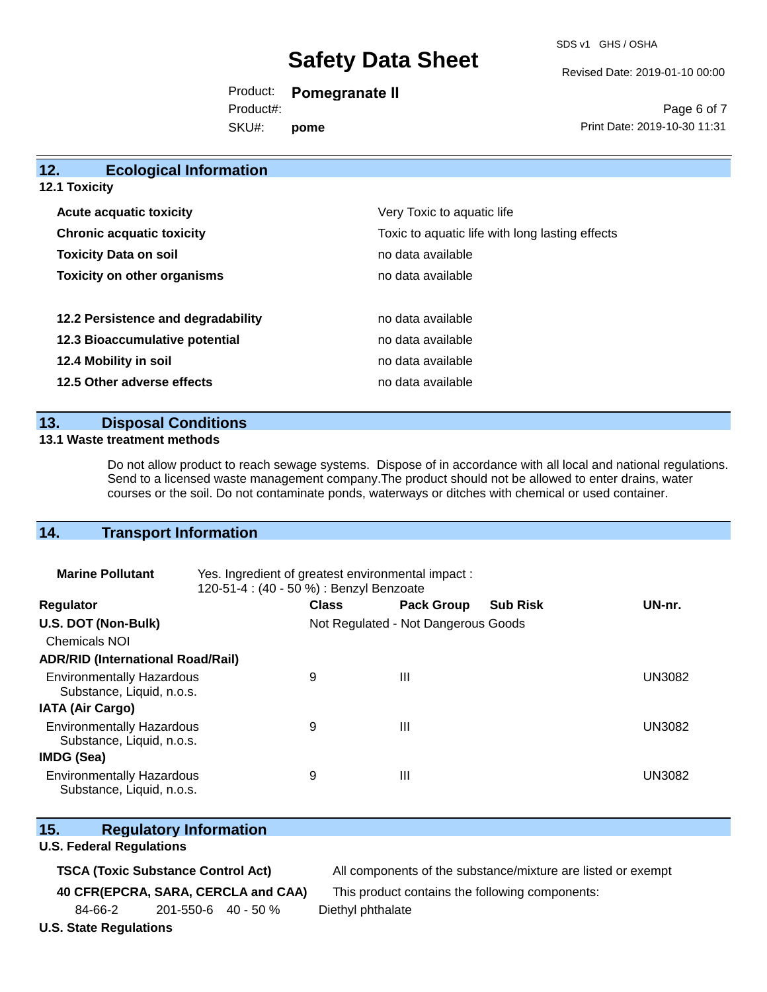SDS v1 GHS / OSHA

Revised Date: 2019-01-10 00:00

Product: **Pomegranate II** SKU#: Product#: **pome**

Page 6 of 7 Print Date: 2019-10-30 11:31

| 12.<br><b>Ecological Information</b> |                                                 |
|--------------------------------------|-------------------------------------------------|
| <b>12.1 Toxicity</b>                 |                                                 |
| <b>Acute acquatic toxicity</b>       | Very Toxic to aquatic life                      |
| <b>Chronic acquatic toxicity</b>     | Toxic to aquatic life with long lasting effects |
| <b>Toxicity Data on soil</b>         | no data available                               |
| <b>Toxicity on other organisms</b>   | no data available                               |
|                                      |                                                 |
| 12.2 Persistence and degradability   | no data available                               |
| 12.3 Bioaccumulative potential       | no data available                               |
| 12.4 Mobility in soil                | no data available                               |
| 12.5 Other adverse effects           | no data available                               |
|                                      |                                                 |

### **13. Disposal Conditions**

#### **13.1 Waste treatment methods**

Do not allow product to reach sewage systems. Dispose of in accordance with all local and national regulations. Send to a licensed waste management company.The product should not be allowed to enter drains, water courses or the soil. Do not contaminate ponds, waterways or ditches with chemical or used container.

### **14. Transport Information**

| <b>Marine Pollutant</b>                                       | Yes. Ingredient of greatest environmental impact:<br>120-51-4 : (40 - 50 %) : Benzyl Benzoate |              |                                     |                 |               |
|---------------------------------------------------------------|-----------------------------------------------------------------------------------------------|--------------|-------------------------------------|-----------------|---------------|
| <b>Regulator</b>                                              |                                                                                               | <b>Class</b> | <b>Pack Group</b>                   | <b>Sub Risk</b> | UN-nr.        |
| U.S. DOT (Non-Bulk)                                           |                                                                                               |              | Not Regulated - Not Dangerous Goods |                 |               |
| Chemicals NOI                                                 |                                                                                               |              |                                     |                 |               |
| <b>ADR/RID (International Road/Rail)</b>                      |                                                                                               |              |                                     |                 |               |
| <b>Environmentally Hazardous</b><br>Substance, Liquid, n.o.s. |                                                                                               | 9            | Ш                                   |                 | <b>UN3082</b> |
| <b>IATA (Air Cargo)</b>                                       |                                                                                               |              |                                     |                 |               |
| <b>Environmentally Hazardous</b><br>Substance, Liquid, n.o.s. |                                                                                               | 9            | Ш                                   |                 | UN3082        |
| <b>IMDG (Sea)</b>                                             |                                                                                               |              |                                     |                 |               |
| <b>Environmentally Hazardous</b><br>Substance, Liquid, n.o.s. |                                                                                               | 9            | Ш                                   |                 | UN3082        |

| 15. | <b>Regulatory Information</b> |
|-----|-------------------------------|
|     |                               |

#### **U.S. Federal Regulations**

**TSCA (Toxic Substance Control Act)** All components of the substance/mixture are listed or exempt

**40 CFR(EPCRA, SARA, CERCLA and CAA)** This product contains the following components:

84-66-2 201-550-6 40 - 50 % Diethyl phthalate

**U.S. State Regulations**